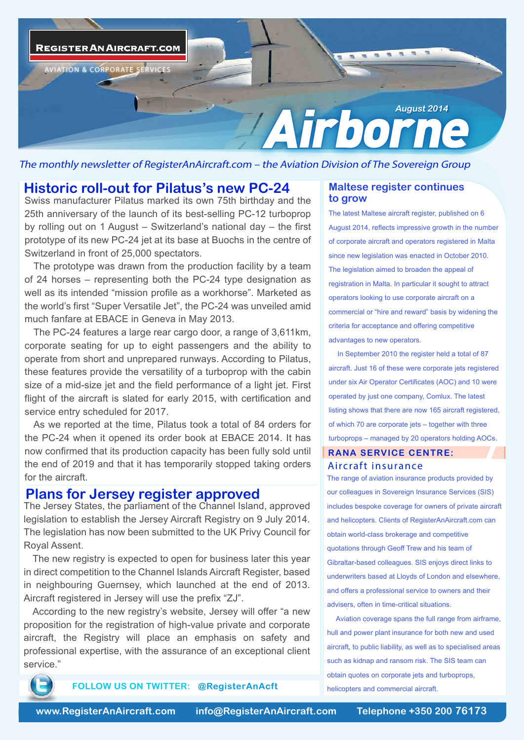

The monthly newsletter of RegisterAnAircraft.com – the Aviation Division of The Sovereign Group

# **Historic roll-out for Pilatus's new PC-24**

Swiss manufacturer Pilatus marked its own 75th birthday and the 25th anniversary of the launch of its best-selling PC-12 turboprop by rolling out on 1 August – Switzerland's national day – the first prototype of its new PC-24 jet at its base at Buochs in the centre of Switzerland in front of 25,000 spectators.

The prototype was drawn from the production facility by a team of 24 horses – representing both the PC-24 type designation as well as its intended "mission profile as a workhorse". Marketed as the world's first "Super Versatile Jet", the PC-24 was unveiled amid much fanfare at EBACE in Geneva in May 2013.

The PC-24 features a large rear cargo door, a range of 3,611km, corporate seating for up to eight passengers and the ability to operate from short and unprepared runways. According to Pilatus, these features provide the versatility of a turboprop with the cabin size of a mid-size jet and the field performance of a light jet. First flight of the aircraft is slated for early 2015, with certification and service entry scheduled for 2017.

As we reported at the time, Pilatus took a total of 84 orders for the PC-24 when it opened its order book at EBACE 2014. It has now confirmed that its production capacity has been fully sold until the end of 2019 and that it has temporarily stopped taking orders for the aircraft.

### **Plans for Jersey register approved**

The Jersey States, the parliament of the Channel Island, approved legislation to establish the Jersey Aircraft Registry on 9 July 2014. The legislation has now been submitted to the UK Privy Council for Royal Assent.

The new registry is expected to open for business later this year in direct competition to the Channel Islands Aircraft Register, based in neighbouring Guernsey, which launched at the end of 2013. Aircraft registered in Jersey will use the prefix "ZJ".

According to the new registry's website, Jersey will offer "a new proposition for the registration of high-value private and corporate aircraft, the Registry will place an emphasis on safety and professional expertise, with the assurance of an exceptional client service."

#### **Maltese register continues to grow**

The latest Maltese aircraft register, published on 6 August 2014, reflects impressive growth in the number of corporate aircraft and operators registered in Malta since new legislation was enacted in October 2010. The legislation aimed to broaden the appeal of registration in Malta. In particular it sought to attract operators looking to use corporate aircraft on a commercial or "hire and reward" basis by widening the criteria for acceptance and offering competitive advantages to new operators.

In September 2010 the register held a total of 87 aircraft. Just 16 of these were corporate jets registered under six Air Operator Certificates (AOC) and 10 were operated by just one company, Comlux. The latest listing shows that there are now 165 aircraft registered, of which 70 are corporate jets – together with three turboprops – managed by 20 operators holding AOCs.

#### **RANA SERVICE CENTRE:** *Aircraft insurance*

The range of aviation insurance products provided by our colleagues in Sovereign Insurance Services (SIS) includes bespoke coverage for owners of private aircraft and helicopters. Clients of RegisterAnAircraft.com can obtain world-class brokerage and competitive quotations through Geoff Trew and his team of Gibraltar-based colleagues. SIS enjoys direct links to underwriters based at Lloyds of London and elsewhere, and offers a professional service to owners and their advisers, often in time-critical situations. .

Aviation coverage spans the full range from airframe, hull and power plant insurance for both new and used aircraft, to public liability, as well as to specialised areas such as kidnap and ransom risk. The SIS team can obtain quotes on corporate jets and turboprops, helicopters and commercial aircraft.



**FOLLOW US ON TWITTER: @RegisterAnAcft**